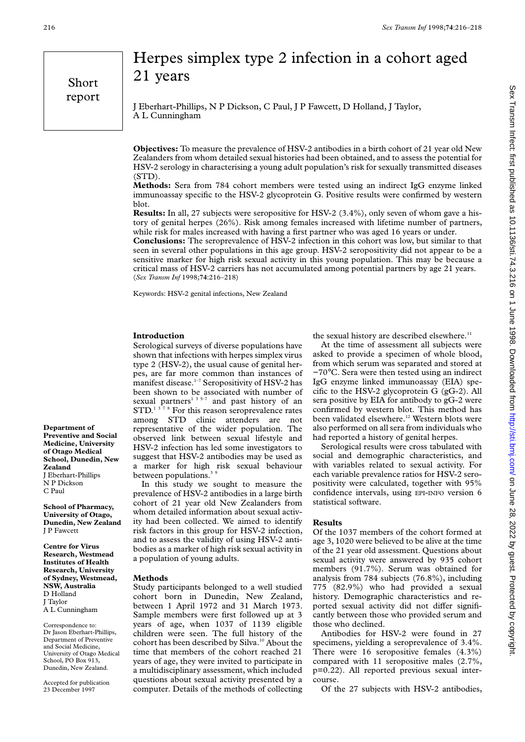Short report

# Herpes simplex type 2 infection in a cohort aged 21 years

J Eberhart-Phillips, N P Dickson, C Paul, J P Fawcett, D Holland, J Taylor, A L Cunningham

**Objectives:** To measure the prevalence of HSV-2 antibodies in a birth cohort of 21 year old New Zealanders from whom detailed sexual histories had been obtained, and to assess the potential for HSV-2 serology in characterising a young adult population's risk for sexually transmitted diseases (STD).

**Methods:** Sera from 784 cohort members were tested using an indirect IgG enzyme linked immunoassay specific to the HSV-2 glycoprotein G. Positive results were confirmed by western blot.

**Results:** In all, 27 subjects were seropositive for HSV-2 (3.4%), only seven of whom gave a history of genital herpes (26%). Risk among females increased with lifetime number of partners, while risk for males increased with having a first partner who was aged 16 years or under.

**Conclusions:** The seroprevalence of HSV-2 infection in this cohort was low, but similar to that seen in several other populations in this age group. HSV-2 seropositivity did not appear to be a sensitive marker for high risk sexual activity in this young population. This may be because a critical mass of HSV-2 carriers has not accumulated among potential partners by age 21 years. (*Sex Transm Inf* 1998;**74**:216–218)

Keywords: HSV-2 genital infections, New Zealand

## **Introduction**

Serological surveys of diverse populations have shown that infections with herpes simplex virus type 2 (HSV-2), the usual cause of genital herpes, are far more common than instances of manifest disease.<sup>1-7</sup> Seropositivity of HSV-2 has been shown to be associated with number of sexual partners<sup>135-7</sup> and past history of an  $STD<sup>1378</sup>$  For this reason seroprevalence rates among STD clinic attenders are not representative of the wider population. The observed link between sexual lifestyle and HSV-2 infection has led some investigators to suggest that HSV-2 antibodies may be used as a marker for high risk sexual behaviour between populations.<sup>39</sup>

In this study we sought to measure the prevalence of HSV-2 antibodies in a large birth cohort of 21 year old New Zealanders from whom detailed information about sexual activity had been collected. We aimed to identify risk factors in this group for HSV-2 infection, and to assess the validity of using HSV-2 antibodies as a marker of high risk sexual activity in a population of young adults.

#### **Methods**

Study participants belonged to a well studied cohort born in Dunedin, New Zealand, between 1 April 1972 and 31 March 1973. Sample members were first followed up at 3 years of age, when 1037 of 1139 eligible children were seen. The full history of the cohort has been described by Silva.<sup>10</sup> About the time that members of the cohort reached 21 years of age, they were invited to participate in a multidisciplinary assessment, which included questions about sexual activity presented by a computer. Details of the methods of collecting

the sexual history are described elsewhere.<sup>11</sup>

At the time of assessment all subjects were asked to provide a specimen of whole blood, from which serum was separated and stored at −70°C. Sera were then tested using an indirect IgG enzyme linked immunoassay (EIA) specific to the HSV-2 glycoprotein G (gG-2). All sera positive by EIA for antibody to gG-2 were confirmed by western blot. This method has been validated elsewhere.<sup>12</sup> Western blots were also performed on all sera from individuals who had reported a history of genital herpes.

Serological results were cross tabulated with social and demographic characteristics, and with variables related to sexual activity. For each variable prevalence ratios for HSV-2 seropositivity were calculated, together with 95% confidence intervals, using EPI-INFO version 6 statistical software.

### **Results**

Of the 1037 members of the cohort formed at age 3, 1020 were believed to be alive at the time of the 21 year old assessment. Questions about sexual activity were answered by 935 cohort members (91.7%). Serum was obtained for analysis from 784 subjects (76.8%), including 775 (82.9%) who had provided a sexual history. Demographic characteristics and reported sexual activity did not differ significantly between those who provided serum and those who declined.

Antibodies for HSV-2 were found in 27 specimens, yielding a seroprevalence of 3.4%. There were 16 seropositive females (4.3%) compared with 11 seropositive males (2.7%, p=0.22). All reported previous sexual intercourse.

Of the 27 subjects with HSV-2 antibodies,

**Department of Preventive and Social Medicine, University of Otago Medical School, Dunedin, New Zealand** J Eberhart-Phillips N P Dickson C Paul

**School of Pharmacy, University of Otago, Dunedin, New Zealand** J P Fawcett

**Centre for Virus Research, Westmead Institutes of Health Research, University of Sydney, Westmead, NSW, Australia** D Holland J Taylor A L Cunningham

Correspondence to: Dr Jason Eberhart-Phillips, Department of Preventive and Social Medicine, University of Otago Medical School, PO Box 913, Dunedin, New Zealand.

Accepted for publication 23 December 1997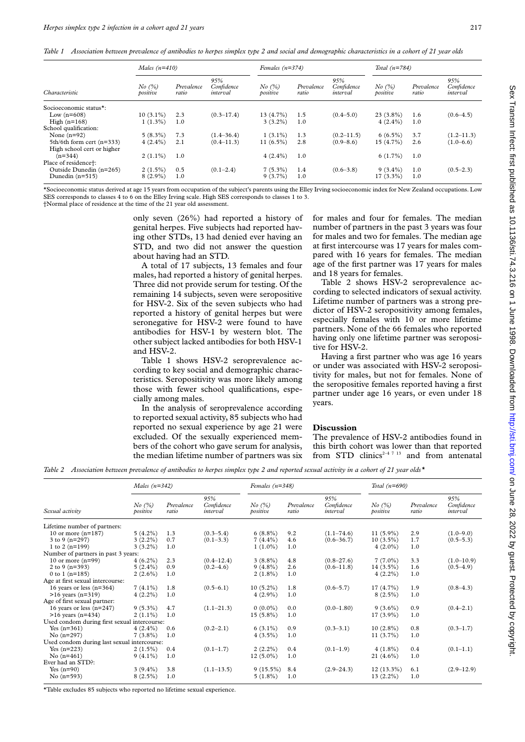*Table 1 Association between prevalence of antibodies to herpes simplex type 2 and social and demographic characteristics in a cohort of 21 year olds*

| Characteristic             | Males $(n=410)$         |                     |                               | Females $(n=374)$                |                     |                               | Total $(n=784)$    |                     |                               |
|----------------------------|-------------------------|---------------------|-------------------------------|----------------------------------|---------------------|-------------------------------|--------------------|---------------------|-------------------------------|
|                            | $No$ $(\%)$<br>positive | Prevalence<br>ratio | 95%<br>Confidence<br>interval | $No$ $\mathcal{O}_0$<br>positive | Prevalence<br>ratio | 95%<br>Confidence<br>interval | No (%)<br>positive | Prevalence<br>ratio | 95%<br>Confidence<br>interval |
| Socioeconomic status*:     |                         |                     |                               |                                  |                     |                               |                    |                     |                               |
| Low $(n=608)$              | $10(3.1\%)$             | 2.3                 | $(0.3 - 17.4)$                | $13(4.7\%)$                      | 1.5                 | $(0.4 - 5.0)$                 | $23(3.8\%)$        | 1.6                 | $(0.6 - 4.5)$                 |
| High $(n=168)$             | $1(1.3\%)$              | 1.0                 |                               | $3(3.2\%)$                       | 1.0                 |                               | $4(2.4\%)$         | 1.0                 |                               |
| School qualification:      |                         |                     |                               |                                  |                     |                               |                    |                     |                               |
| None $(n=92)$              | $5(8.3\%)$              | 7.3                 | $(1.4 - 36.4)$                | $1(3.1\%)$                       | 1.3                 | $(0.2 - 11.5)$                | $6(6.5\%)$         | 3.7                 | $(1.2 - 11.3)$                |
| 5th/6th form cert (n=333)  | $4(2.4\%)$              | 2.1                 | $(0.4 - 11.3)$                | $11(6.5\%)$                      | 2.8                 | $(0.9 - 8.6)$                 | $15(4.7\%)$        | 2.6                 | $(1.0-6.6)$                   |
| High school cert or higher |                         |                     |                               |                                  |                     |                               |                    |                     |                               |
| $(n=344)$                  | $2(1.1\%)$              | 1.0                 |                               | $4(2.4\%)$                       | 1.0                 |                               | $6(1.7\%)$         | 1.0                 |                               |
| Place of residence†:       |                         |                     |                               |                                  |                     |                               |                    |                     |                               |
| Outside Dunedin (n=265)    | $2(1.5\%)$              | 0.5                 | $(0.1 - 2.4)$                 | $7(5.3\%)$                       | 1.4                 | $(0.6 - 3.8)$                 | $9(3.4\%)$         | 1.0                 | $(0.5-2.3)$                   |
| Dunedin $(n=515)$          | $8(2.9\%)$              | 1.0                 |                               | $9(3.7\%)$                       | 1.0                 |                               | $17(3.3\%)$        | 1.0                 |                               |

\*Socioeconomic status derived at age 15 years from occupation of the subject's parents using the Elley Irving socioeconomic index for New Zealand occupations. Low SES corresponds to classes 4 to 6 on the Elley Irving scale. High SES corresponds to classes 1 to 3. †Normal place of residence at the time of the 21 year old assessment.

> only seven (26%) had reported a history of genital herpes. Five subjects had reported having other STDs, 13 had denied ever having an STD, and two did not answer the question about having had an STD.

> A total of 17 subjects, 13 females and four males, had reported a history of genital herpes. Three did not provide serum for testing. Of the remaining 14 subjects, seven were seropositive for HSV-2. Six of the seven subjects who had reported a history of genital herpes but were seronegative for HSV-2 were found to have antibodies for HSV-1 by western blot. The other subject lacked antibodies for both HSV-1 and HSV-2.

> Table 1 shows HSV-2 seroprevalence according to key social and demographic characteristics. Seropositivity was more likely among those with fewer school qualifications, especially among males.

> In the analysis of seroprevalence according to reported sexual activity, 85 subjects who had reported no sexual experience by age 21 were excluded. Of the sexually experienced members of the cohort who gave serum for analysis, the median lifetime number of partners was six

for males and four for females. The median number of partners in the past 3 years was four for males and two for females. The median age at first intercourse was 17 years for males compared with 16 years for females. The median age of the first partner was 17 years for males and 18 years for females.

Table 2 shows HSV-2 seroprevalence according to selected indicators of sexual activity. Lifetime number of partners was a strong predictor of HSV-2 seropositivity among females, especially females with 10 or more lifetime partners. None of the 66 females who reported having only one lifetime partner was seropositive for HSV-2.

Having a first partner who was age 16 years or under was associated with HSV-2 seropositivity for males, but not for females. None of the seropositive females reported having a first partner under age 16 years, or even under 18 years.

## **Discussion**

The prevalence of HSV-2 antibodies found in this birth cohort was lower than that reported from STD clinics<sup>2-4 7 13</sup> and from antenatal

*Table 2 Association between prevalence of antibodies to herpes simplex type 2 and reported sexual activity in a cohort of 21 year olds\**

|                                              |                         | Males $(n=342)$     |                               |                         | Females $(n=348)$   |                               |                         | Total $(n=690)$     |                               |  |
|----------------------------------------------|-------------------------|---------------------|-------------------------------|-------------------------|---------------------|-------------------------------|-------------------------|---------------------|-------------------------------|--|
| Sexual activity                              | $No$ $(\%)$<br>positive | Prevalence<br>ratio | 95%<br>Confidence<br>interval | $No$ $(\%)$<br>positive | Prevalence<br>ratio | 95%<br>Confidence<br>interval | $No$ $(\%)$<br>positive | Prevalence<br>ratio | 95%<br>Confidence<br>interval |  |
| Lifetime number of partners:                 |                         |                     |                               |                         |                     |                               |                         |                     |                               |  |
| 10 or more $(n=187)$                         | $5(4.2\%)$              | 1.3                 | $(0.3 - 5.4)$                 | $6(8.8\%)$              | 9.2                 | $(1.1 - 74.6)$                | $11(5.9\%)$             | 2.9                 | $(1.0-9.0)$                   |  |
| 3 to 9 $(n=297)$                             | $3(2.2\%)$              | 0.7                 | $(0.1 - 3.3)$                 | $7(4.4\%)$              | 4.6                 | $(0.6 - 36.7)$                | $10(3.5\%)$             | 1.7                 | $(0.5 - 5.3)$                 |  |
| 1 to 2 $(n=199)$                             | $3(3.2\%)$              | 1.0                 |                               | $1(1.0\%)$              | 1.0                 |                               | $4(2.0\%)$              | 1.0                 |                               |  |
| Number of partners in past 3 years:          |                         |                     |                               |                         |                     |                               |                         |                     |                               |  |
| 10 or more $(n=99)$                          | $4(6.2\%)$              | 2.3                 | $(0.4 - 12.4)$                | $3(8.8\%)$              | 4.8                 | $(0.8 - 27.6)$                | $7(7.0\%)$              | 3.3                 | $(1.0 - 10.9)$                |  |
| 2 to 9 $(n=393)$                             | $5(2.4\%)$              | 0.9                 | $(0.2 - 4.6)$                 | $9(4.8\%)$              | 2.6                 | $(0.6 - 11.8)$                | $14(3.5\%)$             | 1.6                 | $(0.5-4.9)$                   |  |
| 0 to 1 $(n=185)$                             | $2(2.6\%)$              | 1.0                 |                               | $2(1.8\%)$              | 1.0                 |                               | $4(2.2\%)$              | 1.0                 |                               |  |
| Age at first sexual intercourse:             |                         |                     |                               |                         |                     |                               |                         |                     |                               |  |
| 16 years or less $(n=364)$                   | $7(4.1\%)$              | 1.8                 | $(0.5-6.1)$                   | $10(5.2\%)$             | 1.8                 | $(0.6 - 5.7)$                 | $17(4.7\%)$             | 1.9                 | $(0.8-4.3)$                   |  |
| $>16$ years (n=319)                          | $4(2.2\%)$              | 1.0                 |                               | $4(2.9\%)$              | 1.0                 |                               | $8(2.5\%)$              | 1.0                 |                               |  |
| Age of first sexual partner:                 |                         |                     |                               |                         |                     |                               |                         |                     |                               |  |
| 16 years or less $(n=247)$                   | $9(5.3\%)$              | 4.7                 | $(1.1 - 21.3)$                | $0(0.0\%)$              | 0.0                 | $(0.0 - 1.80)$                | $9(3.6\%)$              | 0.9                 | $(0.4 - 2.1)$                 |  |
| $>16$ years (n=434)                          | $2(1.1\%)$              | 1.0                 |                               | $15(5.8\%)$             | 1.0                 |                               | $17(3.9\%)$             | 1.0                 |                               |  |
| Used condom during first sexual intercourse: |                         |                     |                               |                         |                     |                               |                         |                     |                               |  |
| Yes $(n=361)$                                | $4(2.4\%)$              | 0.6                 | $(0.2 - 2.1)$                 | $6(3.1\%)$              | 0.9                 | $(0.3 - 3.1)$                 | $10(2.8\%)$             | 0.8                 | $(0.3 - 1.7)$                 |  |
| $No(n=297)$                                  | $7(3.8\%)$              | 1.0                 |                               | $4(3.5\%)$              | 1.0                 |                               | 11 $(3.7\%)$            | 1.0                 |                               |  |
| Used condom during last sexual intercourse:  |                         |                     |                               |                         |                     |                               |                         |                     |                               |  |
| Yes $(n=223)$                                | $2(1.5\%)$              | 0.4                 | $(0.1 - 1.7)$                 | $2(2.2\%)$              | 0.4                 | $(0.1-1.9)$                   | $4(1.8\%)$              | 0.4                 | $(0.1-1.1)$                   |  |
| No $(n=461)$                                 | $9(4.1\%)$              | 1.0                 |                               | $12(5.0\%)$             | 1.0                 |                               | $21(4.6\%)$             | 1.0                 |                               |  |
| Ever had an STD?:                            |                         |                     |                               |                         |                     |                               |                         |                     |                               |  |
| Yes $(n=90)$                                 | $3(9.4\%)$              | 3.8                 | $(1.1 - 13.5)$                | $9(15.5\%)$             | 8.4                 | $(2.9 - 24.3)$                | $12(13.3\%)$            | 6.1                 | $(2.9 - 12.9)$                |  |
| No $(n=593)$                                 | $8(2.5\%)$              | 1.0                 |                               | $5(1.8\%)$              | 1.0                 |                               | $13(2.2\%)$             | 1.0                 |                               |  |

\*Table excludes 85 subjects who reported no lifetime sexual experience.